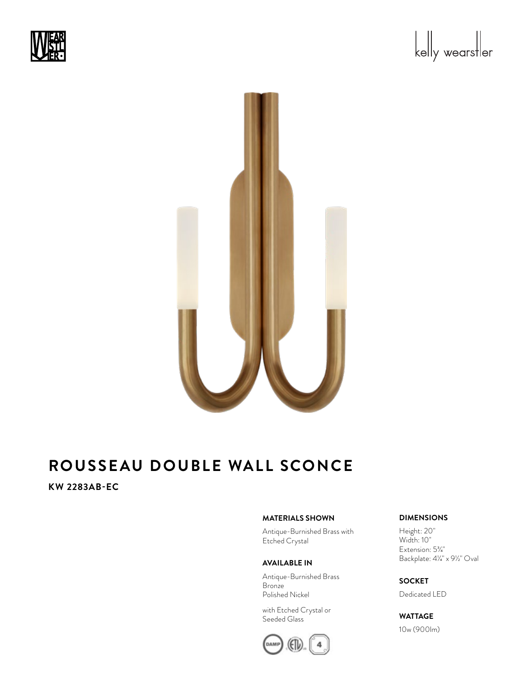



# **KW 2283AB-EC**

### **MATERIALS SHOWN**

Antique-Burnished Brass with Etched Crystal

### **AVAILABLE IN**

Antique-Burnished Brass Bronze Polished Nickel

with Etched Crystal or Seeded Glass



### **DIMENSIONS**

Height: 20" Width: 10" Extension: 53/4" Backplate:  $4\frac{1}{4}$  x  $9\frac{1}{2}$ " Oval

# **SOCKET**

Dedicated LED

## **WATTAGE**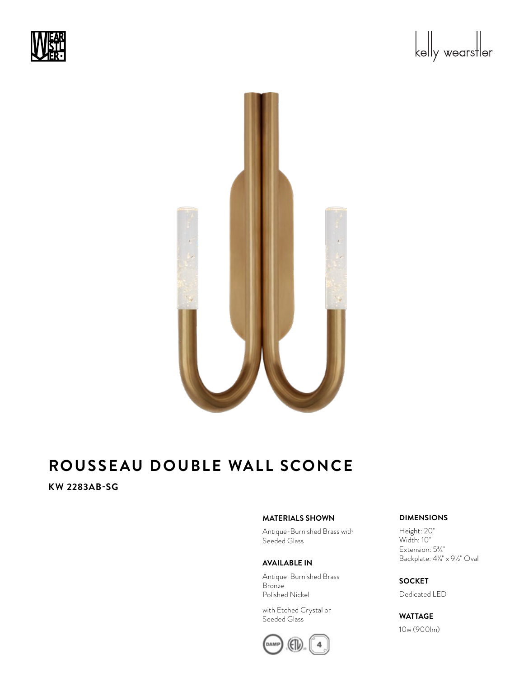



## **KW 2283AB-SG**

### **MATERIALS SHOWN**

Antique-Burnished Brass with Seeded Glass

#### **AVAILABLE IN**

Antique-Burnished Brass Bronze Polished Nickel

with Etched Crystal or Seeded Glass



### **DIMENSIONS**

Height: 20" Width: 10" Extension: 53/4" Backplate:  $4\frac{1}{4}$  x  $9\frac{1}{2}$ " Oval

## **SOCKET**

Dedicated LED

### **WATTAGE**

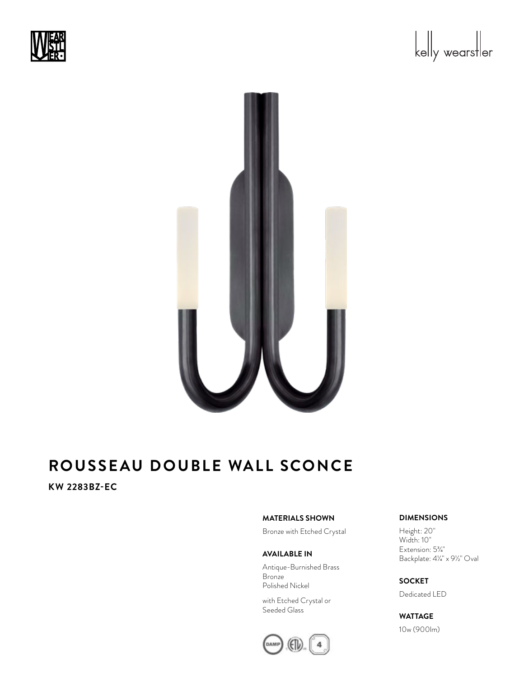



## **KW 2283BZ-EC**

### **MATERIALS SHOWN**

Bronze with Etched Crystal

### **AVAILABLE IN**

Antique-Burnished Brass Bronze Polished Nickel

with Etched Crystal or Seeded Glass



### **DIMENSIONS**

Height: 20" Width: 10" Extension: 53/4" Backplate:  $4\frac{1}{4}$  x  $9\frac{1}{2}$ " Oval

**SOCKET** Dedicated LED

## **WATTAGE**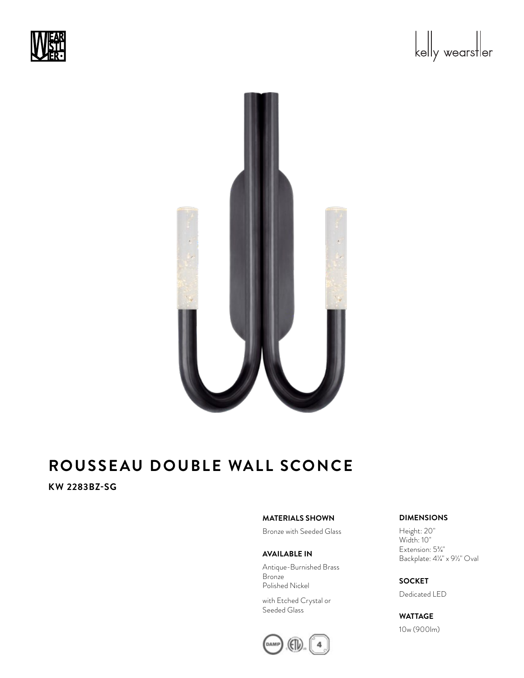



## **KW 2283BZ-SG**

### **MATERIALS SHOWN**

Bronze with Seeded Glass

#### **AVAILABLE IN**

Antique-Burnished Brass Bronze Polished Nickel

with Etched Crystal or Seeded Glass



### **DIMENSIONS**

Height: 20" Width: 10" Extension: 53/4" Backplate:  $4\frac{1}{4}$  x  $9\frac{1}{2}$ " Oval

**SOCKET** Dedicated LED

## **WATTAGE**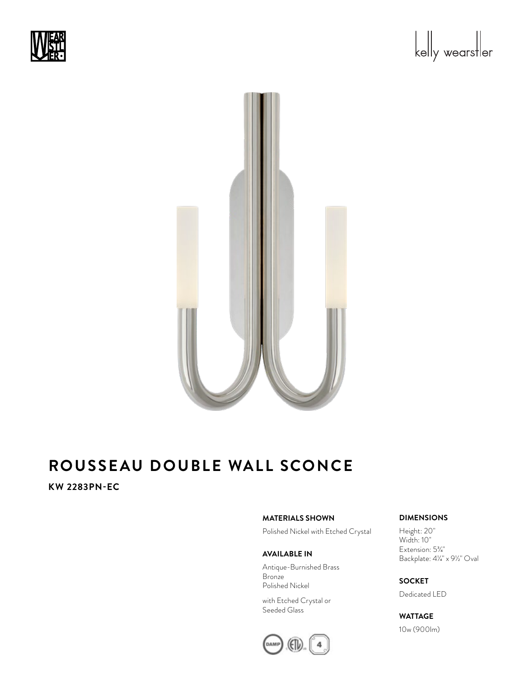





## **KW 2283PN-EC**

### **MATERIALS SHOWN**

Polished Nickel with Etched Crystal

### **AVAILABLE IN**

Antique-Burnished Brass Bronze Polished Nickel

with Etched Crystal or Seeded Glass



## **DIMENSIONS**

Height: 20" Width: 10" Extension: 53/4" Backplate:  $4\frac{1}{4}$  x  $9\frac{1}{2}$ " Oval

**SOCKET** Dedicated LED

## **WATTAGE**